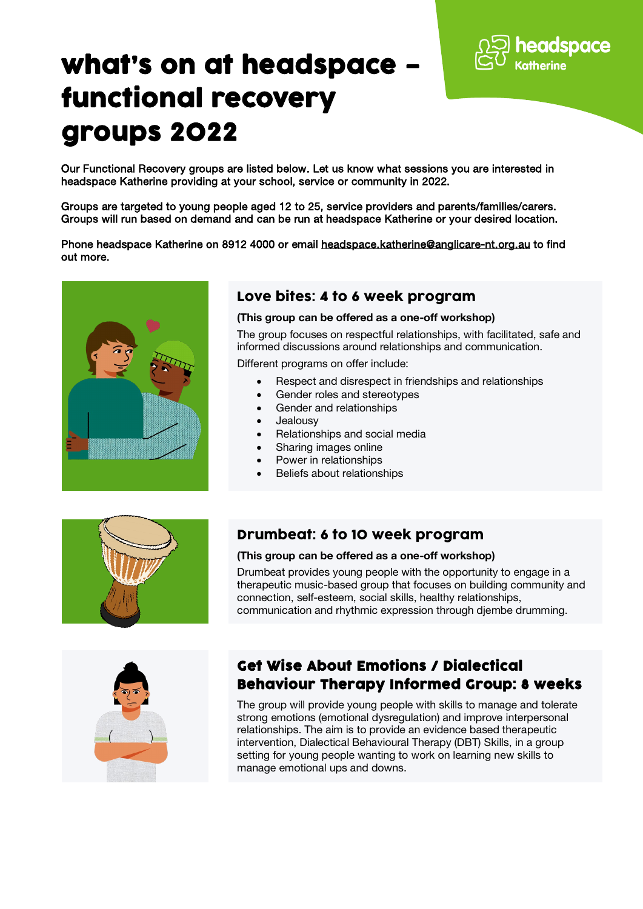

# what's on at headspace – functional recovery groups 2022

Our Functional Recovery groups are listed below. Let us know what sessions you are interested in headspace Katherine providing at your school, service or community in 2022.

Groups are targeted to young people aged 12 to 25, service providers and parents/families/carers. Groups will run based on demand and can be run at headspace Katherine or your desired location.

Phone headspace Katherine on 8912 4000 or email [headspace.katherine@anglicare-nt.org.au](mailto:headspace.katherine@anglicare-nt.org.au) to find out more.



## Love bites: 4 to 6 week program

(This group can be offered as a one-off workshop)

The group focuses on respectful relationships, with facilitated, safe and informed discussions around relationships and communication.

Different programs on offer include:

- Respect and disrespect in friendships and relationships
- Gender roles and stereotypes
- Gender and relationships
- **Jealousv**
- Relationships and social media
- Sharing images online
- Power in relationships
- Beliefs about relationships



#### Drumbeat: 6 to 10 week program

#### (This group can be offered as a one-off workshop)

Drumbeat provides young people with the opportunity to engage in a therapeutic music-based group that focuses on building community and connection, self-esteem, social skills, healthy relationships, communication and rhythmic expression through djembe drumming.



## Get Wise About Emotions / Dialectical Behaviour Therapy Informed Group: 8 weeks

The group will provide young people with skills to manage and tolerate strong emotions (emotional dysregulation) and improve interpersonal relationships. The aim is to provide an evidence based therapeutic intervention, Dialectical Behavioural Therapy (DBT) Skills, in a group setting for young people wanting to work on learning new skills to manage emotional ups and downs.